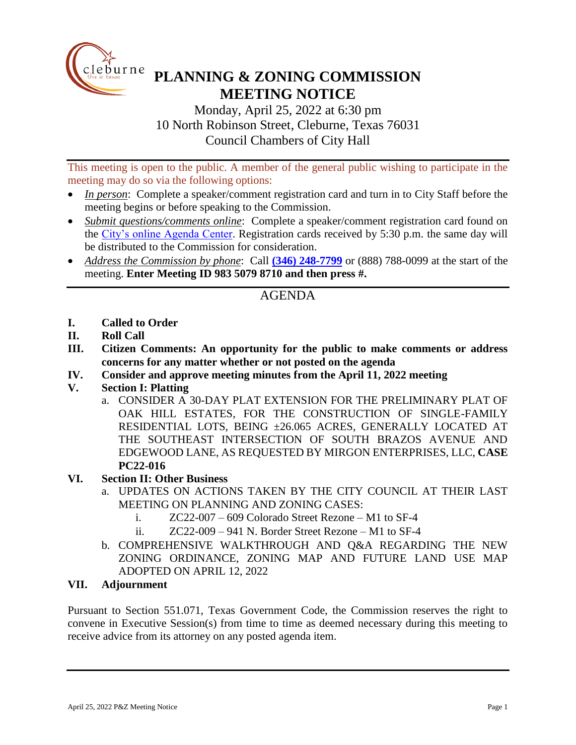

## **PLANNING & ZONING COMMISSION MEETING NOTICE**

Monday, April 25, 2022 at 6:30 pm 10 North Robinson Street, Cleburne, Texas 76031 Council Chambers of City Hall

This meeting is open to the public. A member of the general public wishing to participate in the meeting may do so via the following options:

- *In person*: Complete a speaker/comment registration card and turn in to City Staff before the meeting begins or before speaking to the Commission.
- *Submit questions/comments online*: Complete a speaker/comment registration card found on the [City's online Agenda Center.](https://www.cleburne.net/agendacenter) Registration cards received by 5:30 p.m. the same day will be distributed to the Commission for consideration.
- *Address the Commission by phone*: Call **(346) [248-7799](tel:+13127573117,,477307821)** or (888) 788-0099 at the start of the meeting. **Enter Meeting ID 983 5079 8710 and then press #.**

## AGENDA

- **I. Called to Order**
- **II. Roll Call**
- **III. Citizen Comments: An opportunity for the public to make comments or address concerns for any matter whether or not posted on the agenda**
- **IV. Consider and approve meeting minutes from the April 11, 2022 meeting**
- **V. Section I: Platting**
	- a. CONSIDER A 30-DAY PLAT EXTENSION FOR THE PRELIMINARY PLAT OF OAK HILL ESTATES, FOR THE CONSTRUCTION OF SINGLE-FAMILY RESIDENTIAL LOTS, BEING ±26.065 ACRES, GENERALLY LOCATED AT THE SOUTHEAST INTERSECTION OF SOUTH BRAZOS AVENUE AND EDGEWOOD LANE, AS REQUESTED BY MIRGON ENTERPRISES, LLC, **CASE PC22-016**
- **VI. Section II: Other Business**
	- a. UPDATES ON ACTIONS TAKEN BY THE CITY COUNCIL AT THEIR LAST MEETING ON PLANNING AND ZONING CASES:
		- i. ZC22-007 609 Colorado Street Rezone M1 to SF-4
		- ii.  $ZC22-009-941$  N. Border Street Rezone M1 to SF-4
	- b. COMPREHENSIVE WALKTHROUGH AND Q&A REGARDING THE NEW ZONING ORDINANCE, ZONING MAP AND FUTURE LAND USE MAP ADOPTED ON APRIL 12, 2022

## **VII. Adjournment**

Pursuant to Section 551.071, Texas Government Code, the Commission reserves the right to convene in Executive Session(s) from time to time as deemed necessary during this meeting to receive advice from its attorney on any posted agenda item.